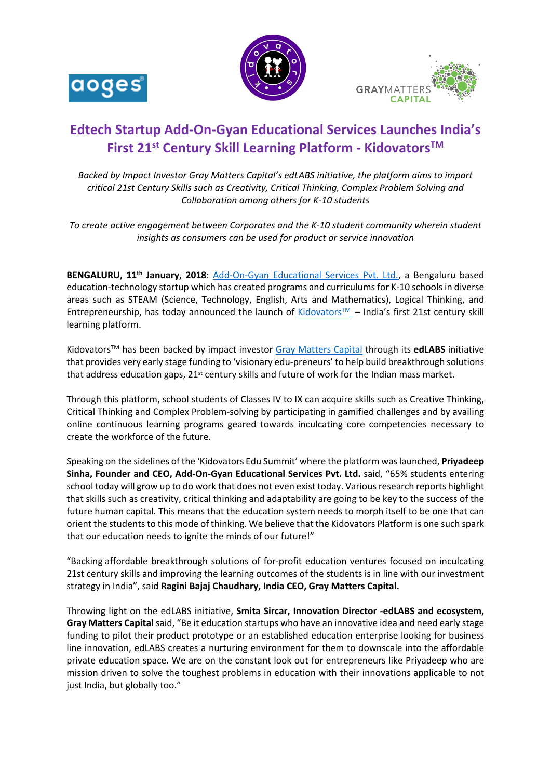





# **[Edtech Startu](https://www.addongyan.com/)p Add-On-Gyan Educational Services Launches India's First 21st Century Skill Learning Platform - KidovatorsTM**

*Backed by Impact Investor Gray Matters Capital's edLABS initiative, the platform aims to impart critical 21st Century Skills such as Creativity, Critical Thinking, Complex Problem Solving and Collaboration among others for K-10 students*

*To create active engagement between Corporates and the K-10 student community wherein student insights as consumers can be used for product or service innovation*

**BENGALURU, 11th January, 2018**: [Add-On-Gyan Educational Services Pvt. Ltd.](https://www.addongyan.com/), a Bengaluru based education-technology startup which has created programs and curriculums for K-10 schools in diverse areas such as STEAM (Science, Technology, English, Arts and Mathematics), Logical Thinking, and Entrepreneurship, has today announced the launch of [Kidovators](https://app.kidovators.com/)™ – India's first 21st century skill learning platform.

KidovatorsTM has been backed by impact investor [Gray Matters Capital](http://graymatterscap.com/) through its **edLABS** initiative that provides very early stage funding to 'visionary edu-preneurs' to help build breakthrough solutions that address education gaps, 21<sup>st</sup> century skills and future of work for the Indian mass market.

Through this platform, school students of Classes IV to IX can acquire skills such as Creative Thinking, Critical Thinking and Complex Problem-solving by participating in gamified challenges and by availing online continuous learning programs geared towards inculcating core competencies necessary to create the workforce of the future.

Speaking on the sidelines of the 'Kidovators Edu Summit' where the platform was launched, **Priyadeep Sinha, Founder and CEO, Add-On-Gyan Educational Services Pvt. Ltd.** said, "65% students entering school today will grow up to do work that does not even exist today. Various research reports highlight that skills such as creativity, critical thinking and adaptability are going to be key to the success of the future human capital. This means that the education system needs to morph itself to be one that can orient the students to this mode of thinking. We believe that the Kidovators Platform is one such spark that our education needs to ignite the minds of our future!"

"Backing affordable breakthrough solutions of for-profit education ventures focused on inculcating 21st century skills and improving the learning outcomes of the students is in line with our investment strategy in India", said **Ragini Bajaj Chaudhary, India CEO, Gray Matters Capital.** 

Throwing light on the edLABS initiative, **Smita Sircar, Innovation Director -edLABS and ecosystem, Gray Matters Capital** said, "Be it education startups who have an innovative idea and need early stage funding to pilot their product prototype or an established education enterprise looking for business line innovation, edLABS creates a nurturing environment for them to downscale into the affordable private education space. We are on the constant look out for entrepreneurs like Priyadeep who are mission driven to solve the toughest problems in education with their innovations applicable to not just India, but globally too."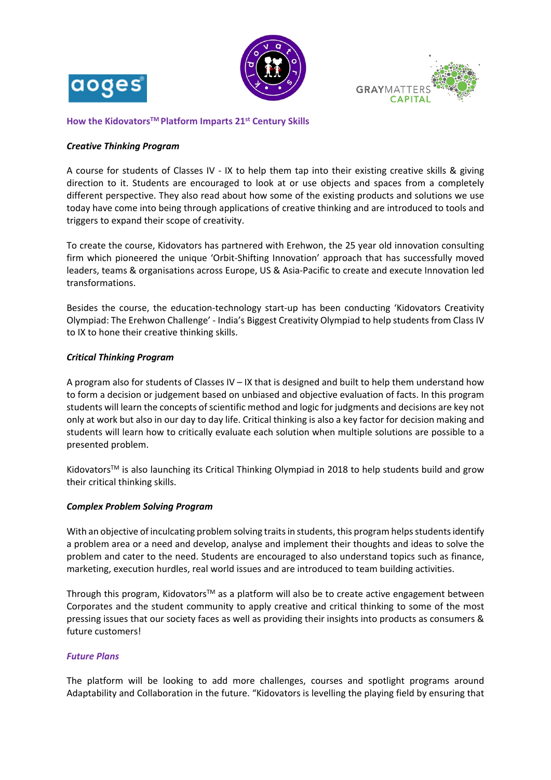





**[How the Kidovator](https://www.addongyan.com/)sTM Platform Imparts 21st Century Skills**

## *Creative Thinking Program*

A course for students of Classes IV - IX to help them tap into their existing creative skills & giving direction to it. Students are encouraged to look at or use objects and spaces from a completely different perspective. They also read about how some of the existing products and solutions we use today have come into being through applications of creative thinking and are introduced to tools and triggers to expand their scope of creativity.

To create the course, Kidovators has partnered with Erehwon, the 25 year old innovation consulting firm which pioneered the unique 'Orbit-Shifting Innovation' approach that has successfully moved leaders, teams & organisations across Europe, US & Asia-Pacific to create and execute Innovation led transformations.

Besides the course, the education-technology start-up has been conducting 'Kidovators Creativity Olympiad: The Erehwon Challenge' - India's Biggest Creativity Olympiad to help students from Class IV to IX to hone their creative thinking skills.

## *Critical Thinking Program*

A program also for students of Classes IV – IX that is designed and built to help them understand how to form a decision or judgement based on unbiased and objective evaluation of facts. In this program students will learn the concepts of scientific method and logic for judgments and decisions are key not only at work but also in our day to day life. Critical thinking is also a key factor for decision making and students will learn how to critically evaluate each solution when multiple solutions are possible to a presented problem.

Kidovators<sup>™</sup> is also launching its Critical Thinking Olympiad in 2018 to help students build and grow their critical thinking skills.

## *Complex Problem Solving Program*

With an objective of inculcating problem solving traits in students, this program helps students identify a problem area or a need and develop, analyse and implement their thoughts and ideas to solve the problem and cater to the need. Students are encouraged to also understand topics such as finance, marketing, execution hurdles, real world issues and are introduced to team building activities.

Through this program, Kidovators<sup>™</sup> as a platform will also be to create active engagement between Corporates and the student community to apply creative and critical thinking to some of the most pressing issues that our society faces as well as providing their insights into products as consumers & future customers!

## *Future Plans*

The platform will be looking to add more challenges, courses and spotlight programs around Adaptability and Collaboration in the future. "Kidovators is levelling the playing field by ensuring that